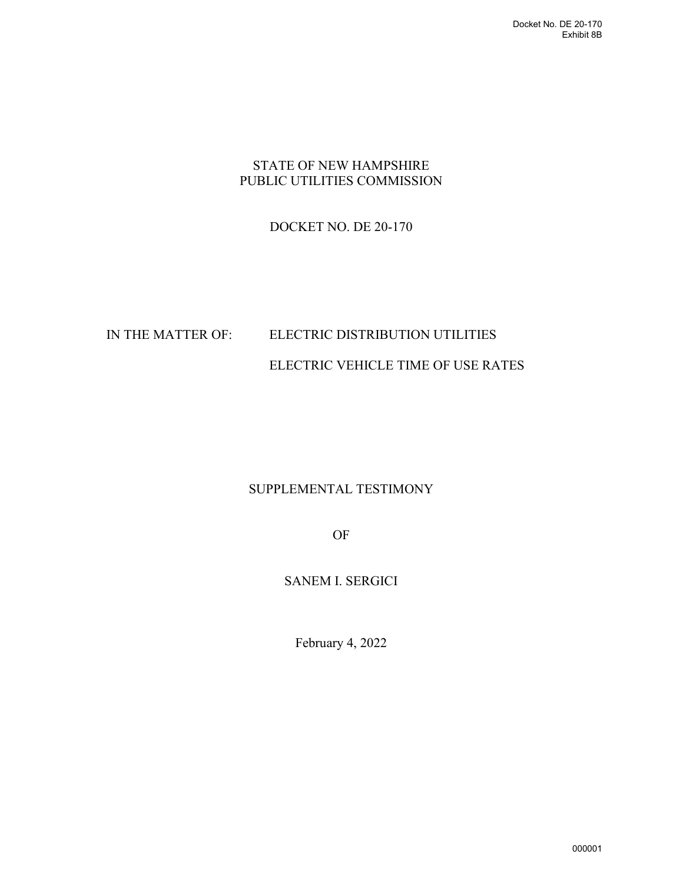#### STATE OF NEW HAMPSHIRE PUBLIC UTILITIES COMMISSION

### DOCKET NO. DE 20-170

# IN THE MATTER OF: ELECTRIC DISTRIBUTION UTILITIES ELECTRIC VEHICLE TIME OF USE RATES

## SUPPLEMENTAL TESTIMONY

OF

### SANEM I. SERGICI

February 4, 2022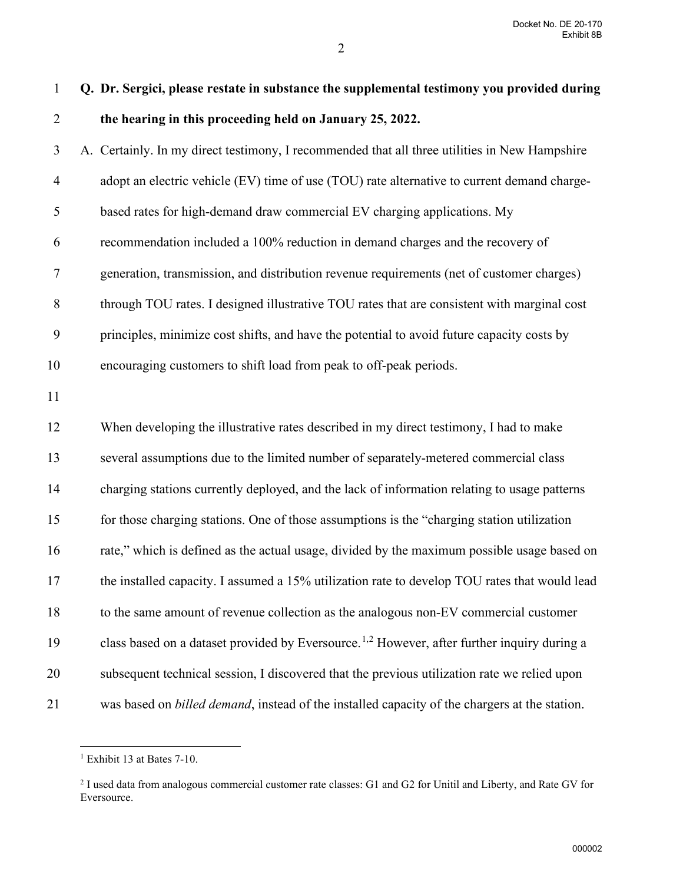Docket No. DE 20-170 Exhibit 8B

| $\mathbf{1}$   | Q. Dr. Sergici, please restate in substance the supplemental testimony you provided during              |
|----------------|---------------------------------------------------------------------------------------------------------|
| $\overline{2}$ | the hearing in this proceeding held on January 25, 2022.                                                |
| 3              | A. Certainly. In my direct testimony, I recommended that all three utilities in New Hampshire           |
| $\overline{4}$ | adopt an electric vehicle (EV) time of use (TOU) rate alternative to current demand charge-             |
| 5              | based rates for high-demand draw commercial EV charging applications. My                                |
| 6              | recommendation included a 100% reduction in demand charges and the recovery of                          |
| $\tau$         | generation, transmission, and distribution revenue requirements (net of customer charges)               |
| $8\,$          | through TOU rates. I designed illustrative TOU rates that are consistent with marginal cost             |
| 9              | principles, minimize cost shifts, and have the potential to avoid future capacity costs by              |
| 10             | encouraging customers to shift load from peak to off-peak periods.                                      |
| 11             |                                                                                                         |
| 12             | When developing the illustrative rates described in my direct testimony, I had to make                  |
| 13             | several assumptions due to the limited number of separately-metered commercial class                    |
| 14             | charging stations currently deployed, and the lack of information relating to usage patterns            |
| 15             | for those charging stations. One of those assumptions is the "charging station utilization              |
| 16             | rate," which is defined as the actual usage, divided by the maximum possible usage based on             |
| 17             | the installed capacity. I assumed a 15% utilization rate to develop TOU rates that would lead           |
| 18             | to the same amount of revenue collection as the analogous non-EV commercial customer                    |
| 19             | class based on a dataset provided by Eversource. <sup>1,2</sup> However, after further inquiry during a |
| 20             | subsequent technical session, I discovered that the previous utilization rate we relied upon            |
| 21             | was based on <i>billed demand</i> , instead of the installed capacity of the chargers at the station.   |

<span id="page-1-0"></span><sup>&</sup>lt;sup>1</sup> Exhibit 13 at Bates 7-10.

<span id="page-1-1"></span><sup>&</sup>lt;sup>2</sup> I used data from analogous commercial customer rate classes: G1 and G2 for Unitil and Liberty, and Rate GV for Eversource.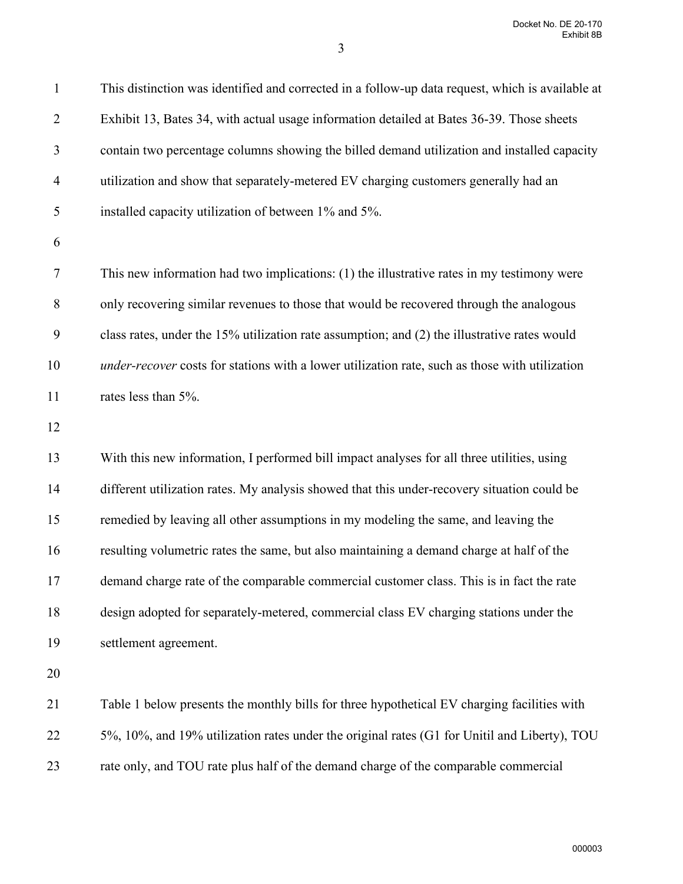Docket No. DE 20-170 Exhibit 8B

3

| $\mathbf{1}$   | This distinction was identified and corrected in a follow-up data request, which is available at |
|----------------|--------------------------------------------------------------------------------------------------|
| $\overline{2}$ | Exhibit 13, Bates 34, with actual usage information detailed at Bates 36-39. Those sheets        |
| 3              | contain two percentage columns showing the billed demand utilization and installed capacity      |
| $\overline{4}$ | utilization and show that separately-metered EV charging customers generally had an              |
| 5              | installed capacity utilization of between 1% and 5%.                                             |
| 6              |                                                                                                  |
| 7              | This new information had two implications: (1) the illustrative rates in my testimony were       |
| 8              | only recovering similar revenues to those that would be recovered through the analogous          |
| 9              | class rates, under the 15% utilization rate assumption; and (2) the illustrative rates would     |
| 10             | under-recover costs for stations with a lower utilization rate, such as those with utilization   |
| 11             | rates less than 5%.                                                                              |
| 12             |                                                                                                  |
| 13             | With this new information, I performed bill impact analyses for all three utilities, using       |
| 14             | different utilization rates. My analysis showed that this under-recovery situation could be      |
| 15             | remedied by leaving all other assumptions in my modeling the same, and leaving the               |
| 16             | resulting volumetric rates the same, but also maintaining a demand charge at half of the         |
| 17             | demand charge rate of the comparable commercial customer class. This is in fact the rate         |
| 18             | design adopted for separately-metered, commercial class EV charging stations under the           |
| 19             | settlement agreement.                                                                            |
| 20             |                                                                                                  |
| 21             | Table 1 below presents the monthly bills for three hypothetical EV charging facilities with      |
| 22             | 5%, 10%, and 19% utilization rates under the original rates (G1 for Unitil and Liberty), TOU     |
| 23             | rate only, and TOU rate plus half of the demand charge of the comparable commercial              |
|                |                                                                                                  |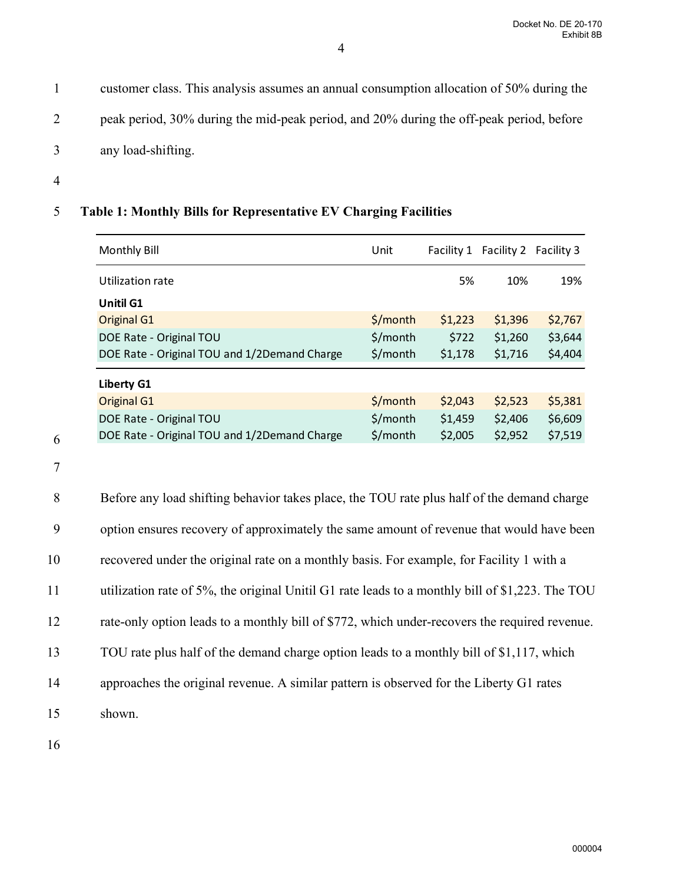1 customer class. This analysis assumes an annual consumption allocation of 50% during the

2 peak period, 30% during the mid-peak period, and 20% during the off-peak period, before

- 3 any load-shifting.
- 4

## 5 **Table 1: Monthly Bills for Representative EV Charging Facilities**

| <b>Monthly Bill</b>                          | Unit     | Facility 1 | Facility 2 Facility 3 |         |
|----------------------------------------------|----------|------------|-----------------------|---------|
| Utilization rate                             |          | 5%         | 10%                   | 19%     |
| Unitil G1                                    |          |            |                       |         |
| <b>Original G1</b>                           | \$/month | \$1,223    | \$1,396               | \$2,767 |
| DOE Rate - Original TOU                      | \$/month | \$722      | \$1,260               | \$3,644 |
| DOE Rate - Original TOU and 1/2Demand Charge | \$/month | \$1,178    | \$1,716               | \$4,404 |
| Liberty G1                                   |          |            |                       |         |
| <b>Original G1</b>                           | \$/month | \$2,043    | \$2,523               | \$5,381 |
| DOE Rate - Original TOU                      | \$/month | \$1,459    | \$2,406               | \$6,609 |
| DOE Rate - Original TOU and 1/2Demand Charge | \$/month | \$2,005    | \$2,952               | \$7,519 |

7

6

8 Before any load shifting behavior takes place, the TOU rate plus half of the demand charge 9 option ensures recovery of approximately the same amount of revenue that would have been 10 recovered under the original rate on a monthly basis. For example, for Facility 1 with a 11 utilization rate of 5%, the original Unitil G1 rate leads to a monthly bill of \$1,223. The TOU 12 rate-only option leads to a monthly bill of \$772, which under-recovers the required revenue. 13 TOU rate plus half of the demand charge option leads to a monthly bill of \$1,117, which 14 approaches the original revenue. A similar pattern is observed for the Liberty G1 rates 15 shown.

16